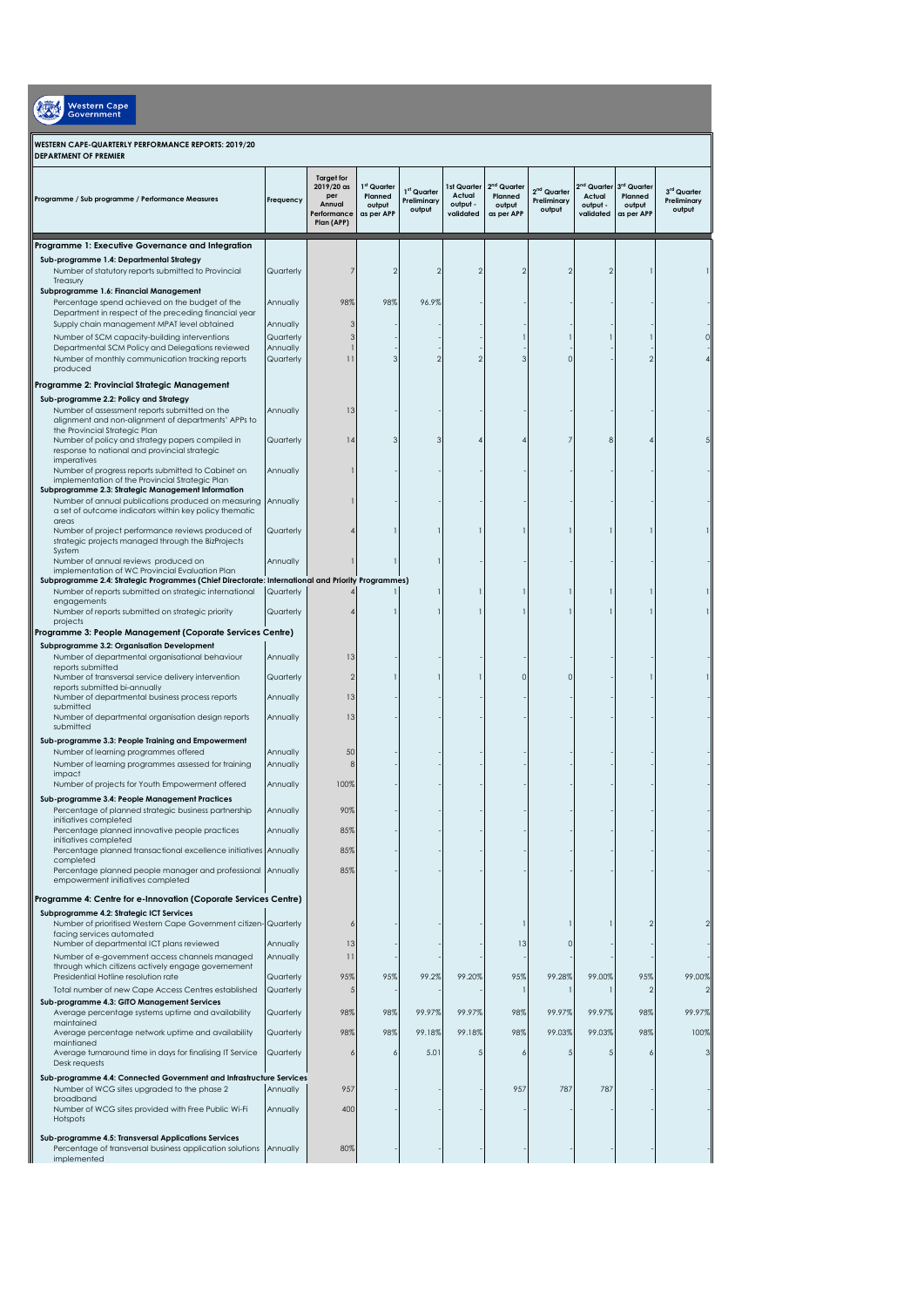| <b>Western Cape</b><br>Government                                                                                                                                               |                        |                                                                               |                                                          |                                                  |                                                |                                                  |                                                  |                                                            |                                                |                                      |
|---------------------------------------------------------------------------------------------------------------------------------------------------------------------------------|------------------------|-------------------------------------------------------------------------------|----------------------------------------------------------|--------------------------------------------------|------------------------------------------------|--------------------------------------------------|--------------------------------------------------|------------------------------------------------------------|------------------------------------------------|--------------------------------------|
| WESTERN CAPE-QUARTERLY PERFORMANCE REPORTS: 2019/20<br><b>DEPARTMENT OF PREMIER</b>                                                                                             |                        |                                                                               |                                                          |                                                  |                                                |                                                  |                                                  |                                                            |                                                |                                      |
| Programme / Sub programme / Performance Measures                                                                                                                                | Frequency              | <b>Target for</b><br>2019/20 as<br>per<br>Annual<br>Performance<br>Plan (APP) | <sup>st</sup> Quarter<br>Planned<br>output<br>as per APP | 1 <sup>st</sup> Quarter<br>Preliminary<br>output | 1st Quarter<br>Actual<br>output -<br>validated | $2nd$ Quarter<br>Planned<br>output<br>as per APP | 2 <sup>nd</sup> Quarter<br>Preliminary<br>output | 2 <sup>nd</sup> Quarter<br>Actual<br>output -<br>validated | 3rd Quarter<br>Planned<br>output<br>as per APP | 3rd Quarter<br>Preliminary<br>output |
| Programme 1: Executive Governance and Integration                                                                                                                               |                        |                                                                               |                                                          |                                                  |                                                |                                                  |                                                  |                                                            |                                                |                                      |
| Sub-programme 1.4: Departmental Strategy<br>Number of statutory reports submitted to Provincial<br>Treasury                                                                     | Quarterly              |                                                                               |                                                          | 2                                                |                                                | 2                                                |                                                  | 2                                                          |                                                |                                      |
| Subprogramme 1.6: Financial Management<br>Percentage spend achieved on the budget of the<br>Department in respect of the preceding financial year                               | Annually               | 98%                                                                           | 98%                                                      | 96.9%                                            |                                                |                                                  |                                                  |                                                            |                                                |                                      |
| Supply chain management MPAT level obtained                                                                                                                                     | Annually               | З                                                                             |                                                          |                                                  |                                                |                                                  |                                                  |                                                            |                                                |                                      |
| Number of SCM capacity-building interventions                                                                                                                                   | Quarterly              | 3                                                                             |                                                          |                                                  |                                                |                                                  |                                                  |                                                            |                                                |                                      |
| Departmental SCM Policy and Delegations reviewed<br>Number of monthly communication tracking reports<br>produced                                                                | Annually<br>Quarterly  | 11                                                                            |                                                          | 2                                                |                                                | 3                                                |                                                  |                                                            |                                                |                                      |
| Programme 2: Provincial Strategic Management                                                                                                                                    |                        |                                                                               |                                                          |                                                  |                                                |                                                  |                                                  |                                                            |                                                |                                      |
| Sub-programme 2.2: Policy and Strategy<br>Number of assessment reports submitted on the<br>alignment and non-alignment of departments' APPs to<br>the Provincial Strategic Plan | Annually               | 13                                                                            |                                                          |                                                  |                                                |                                                  |                                                  |                                                            |                                                |                                      |
| Number of policy and strategy papers compiled in<br>response to national and provincial strategic<br>imperatives                                                                | Quarterly              | 14                                                                            |                                                          | З                                                |                                                |                                                  |                                                  | 8                                                          |                                                |                                      |
| Number of progress reports submitted to Cabinet on<br>implementation of the Provincial Strategic Plan<br>Subprogramme 2.3: Strategic Management Information                     | Annually               |                                                                               |                                                          |                                                  |                                                |                                                  |                                                  |                                                            |                                                |                                      |
| Number of annual publications produced on measuring<br>a set of outcome indicators within key policy thematic<br>areas                                                          | Annually               |                                                                               |                                                          |                                                  |                                                |                                                  |                                                  |                                                            |                                                |                                      |
| Number of project performance reviews produced of<br>strategic projects managed through the BizProjects<br>System                                                               | Quarterly              |                                                                               |                                                          |                                                  |                                                |                                                  |                                                  |                                                            |                                                |                                      |
| Number of annual reviews produced on<br>implementation of WC Provincial Evaluation Plan                                                                                         | Annually               |                                                                               |                                                          |                                                  |                                                |                                                  |                                                  |                                                            |                                                |                                      |
| Subprogramme 2.4: Strategic Programmes (Chief Directorate: International and Priority Programmes)                                                                               |                        |                                                                               |                                                          |                                                  |                                                |                                                  |                                                  |                                                            |                                                |                                      |
| Number of reports submitted on strategic international<br>engagements<br>Number of reports submitted on strategic priority<br>projects                                          | Quarterly<br>Quarterly |                                                                               |                                                          |                                                  |                                                |                                                  |                                                  |                                                            |                                                |                                      |
| Programme 3: People Management (Coporate Services Centre)                                                                                                                       |                        |                                                                               |                                                          |                                                  |                                                |                                                  |                                                  |                                                            |                                                |                                      |
| Subprogramme 3.2: Organisation Development<br>Number of departmental organisational behaviour<br>reports submitted                                                              | Annually               | 13                                                                            |                                                          |                                                  |                                                |                                                  |                                                  |                                                            |                                                |                                      |
| Number of transversal service delivery intervention<br>reports submitted bi-annually<br>Number of departmental business process reports                                         | Quarterly<br>Annually  | $\mathfrak{D}$<br>13                                                          |                                                          |                                                  |                                                | $\Omega$                                         | C                                                |                                                            |                                                |                                      |
| submitted<br>Number of departmental organisation design reports<br>submitted                                                                                                    | Annually               | 13                                                                            |                                                          |                                                  |                                                |                                                  |                                                  |                                                            |                                                |                                      |
| Sub-programme 3.3: People Training and Empowerment<br>Number of learning programmes offered                                                                                     |                        | 50                                                                            |                                                          |                                                  |                                                |                                                  |                                                  |                                                            |                                                |                                      |
| Number of learning programmes assessed for training<br>impact                                                                                                                   | Annually<br>Annually   | 8                                                                             |                                                          |                                                  |                                                |                                                  |                                                  |                                                            |                                                |                                      |
| Number of projects for Youth Empowerment offered                                                                                                                                | Annually               | 100%                                                                          |                                                          |                                                  |                                                |                                                  |                                                  |                                                            |                                                |                                      |
| Sub-programme 3.4: People Management Practices<br>Percentage of planned strategic business partnership<br>initiatives completed                                                 | Annually               | 90%                                                                           |                                                          |                                                  |                                                |                                                  |                                                  |                                                            |                                                |                                      |
| Percentage planned innovative people practices<br>initiatives completed                                                                                                         | Annually               | 85%                                                                           |                                                          |                                                  |                                                |                                                  |                                                  |                                                            |                                                |                                      |
| Percentage planned transactional excellence initiatives Annually<br>completed                                                                                                   |                        | 85%                                                                           |                                                          |                                                  |                                                |                                                  |                                                  |                                                            |                                                |                                      |
| Percentage planned people manager and professional Annually<br>empowerment initiatives completed                                                                                |                        | 85%                                                                           |                                                          |                                                  |                                                |                                                  |                                                  |                                                            |                                                |                                      |
| Programme 4: Centre for e-Innovation (Coporate Services Centre)                                                                                                                 |                        |                                                                               |                                                          |                                                  |                                                |                                                  |                                                  |                                                            |                                                |                                      |
| Subprogramme 4.2: Strategic ICT Services<br>Number of prioritised Western Cape Government citizen- Quarterly<br>facing services automated                                       |                        |                                                                               |                                                          |                                                  |                                                |                                                  |                                                  |                                                            | 2                                              |                                      |
| Number of departmental ICT plans reviewed<br>Number of e-government access channels managed                                                                                     | Annually<br>Annually   | 13<br>11                                                                      |                                                          |                                                  |                                                | 13                                               |                                                  |                                                            |                                                |                                      |
| through which citizens actively engage governement                                                                                                                              |                        |                                                                               |                                                          |                                                  |                                                |                                                  |                                                  |                                                            |                                                |                                      |
| Presidential Hotline resolution rate<br>Total number of new Cape Access Centres established                                                                                     | Quarterly<br>Quarterly | 95%                                                                           | 95%                                                      | 99.2%                                            | 99.20%                                         | 95%                                              | 99.28%                                           | 99.00%                                                     | 95%                                            | 99.00%                               |
| Sub-programme 4.3: GITO Management Services<br>Average percentage systems uptime and availability                                                                               | Quarterly              | 98%                                                                           | 98%                                                      | 99.97%                                           | 99.97%                                         | 98%                                              | 99.97%                                           | 99.97%                                                     | 98%                                            | 99.97%                               |
| maintained<br>Average percentage network uptime and availability                                                                                                                | Quarterly              | 98%                                                                           | 98%                                                      | 99.18%                                           | 99.18%                                         | 98%                                              | 99.03%                                           | 99.03%                                                     | 98%                                            | 100%                                 |
| maintianed<br>Average turnaround time in days for finalising IT Service<br>Desk requests                                                                                        | Quarterly              |                                                                               | 6                                                        | 5.01                                             |                                                | 6                                                |                                                  | -5                                                         | 6                                              | 3                                    |
| Sub-programme 4.4: Connected Government and Infrastructure Services<br>Number of WCG sites upgraded to the phase 2                                                              | Annually               | 957                                                                           |                                                          |                                                  |                                                | 957                                              | 787                                              | 787                                                        |                                                |                                      |
| broadband<br>Number of WCG sites provided with Free Public Wi-Fi<br>Hotspots                                                                                                    | Annually               | 400                                                                           |                                                          |                                                  |                                                |                                                  |                                                  |                                                            |                                                |                                      |
| Sub-programme 4.5: Transversal Applications Services<br>Percentage of transversal business application solutions<br>implemented                                                 | Annually               | 80%                                                                           |                                                          |                                                  |                                                |                                                  |                                                  |                                                            |                                                |                                      |